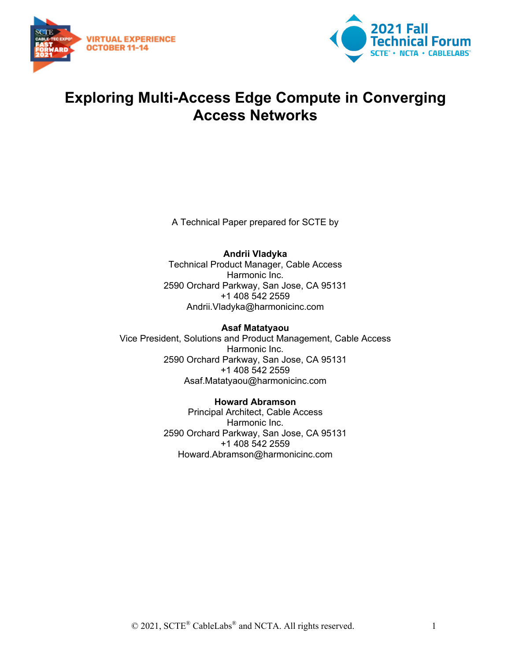



## **Exploring Multi-Access Edge Compute in Converging Access Networks**

A Technical Paper prepared for SCTE by

#### **Andrii Vladyka**

Technical Product Manager, Cable Access Harmonic Inc. 2590 Orchard Parkway, San Jose, CA 95131 +1 408 542 2559 Andrii.Vladyka@harmonicinc.com

#### **Asaf Matatyaou**

Vice President, Solutions and Product Management, Cable Access Harmonic Inc. 2590 Orchard Parkway, San Jose, CA 95131 +1 408 542 2559 Asaf.Matatyaou@harmonicinc.com

#### **Howard Abramson**

Principal Architect, Cable Access Harmonic Inc. 2590 Orchard Parkway, San Jose, CA 95131 +1 408 542 2559 Howard.Abramson@harmonicinc.com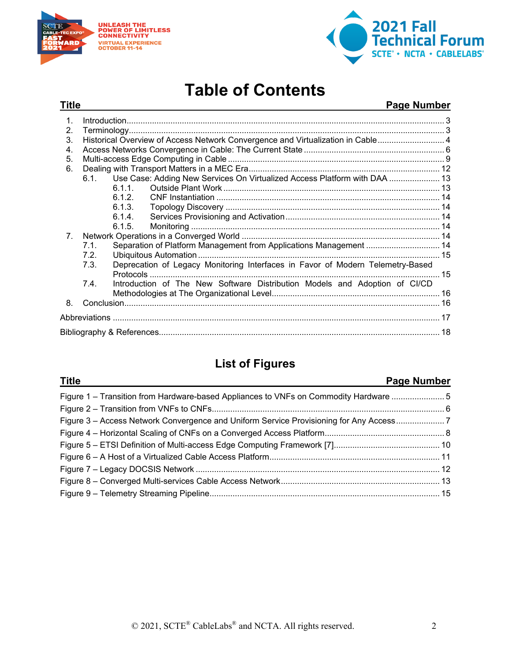



# **Table of Contents**

#### **Title Page Number**

| $\mathbf 1$                    |                                                                                 |        |                                                                                |  |  |  |
|--------------------------------|---------------------------------------------------------------------------------|--------|--------------------------------------------------------------------------------|--|--|--|
| 2.                             |                                                                                 |        |                                                                                |  |  |  |
| 3.                             | Historical Overview of Access Network Convergence and Virtualization in Cable 4 |        |                                                                                |  |  |  |
| 4.                             |                                                                                 |        |                                                                                |  |  |  |
| 5.                             |                                                                                 |        |                                                                                |  |  |  |
| 6.                             |                                                                                 |        |                                                                                |  |  |  |
|                                | 6.1                                                                             |        | Use Case: Adding New Services On Virtualized Access Platform with DAA  13      |  |  |  |
|                                |                                                                                 | 6.1.1  |                                                                                |  |  |  |
|                                |                                                                                 | 6.1.2. |                                                                                |  |  |  |
|                                |                                                                                 | 6.1.3. |                                                                                |  |  |  |
|                                |                                                                                 | 6.1.4. |                                                                                |  |  |  |
|                                |                                                                                 | 6.1.5. |                                                                                |  |  |  |
| $7_{\scriptscriptstyle{\sim}}$ |                                                                                 |        |                                                                                |  |  |  |
|                                | 7.1                                                                             |        | Separation of Platform Management from Applications Management  14             |  |  |  |
|                                | 7.2.                                                                            |        |                                                                                |  |  |  |
|                                | 7.3.                                                                            |        | Deprecation of Legacy Monitoring Interfaces in Favor of Modern Telemetry-Based |  |  |  |
|                                | 7.4.                                                                            |        | Introduction of The New Software Distribution Models and Adoption of CI/CD     |  |  |  |
| 8.                             |                                                                                 |        |                                                                                |  |  |  |
|                                |                                                                                 |        |                                                                                |  |  |  |
|                                |                                                                                 |        |                                                                                |  |  |  |
|                                |                                                                                 |        |                                                                                |  |  |  |
|                                |                                                                                 |        |                                                                                |  |  |  |

## **List of Figures**

#### **Title Page Number**

| Figure 1 – Transition from Hardware-based Appliances to VNFs on Commodity Hardware 5   |  |
|----------------------------------------------------------------------------------------|--|
|                                                                                        |  |
| Figure 3 – Access Network Convergence and Uniform Service Provisioning for Any Access7 |  |
|                                                                                        |  |
|                                                                                        |  |
|                                                                                        |  |
|                                                                                        |  |
|                                                                                        |  |
|                                                                                        |  |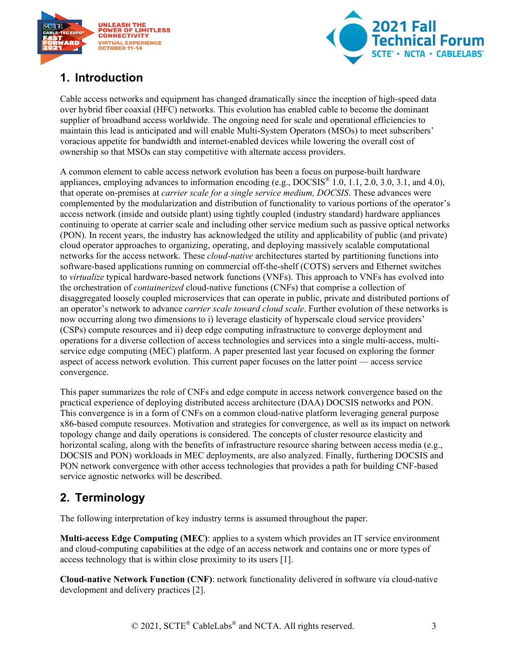



## <span id="page-2-0"></span>**1. Introduction**

Cable access networks and equipment has changed dramatically since the inception of high-speed data over hybrid fiber coaxial (HFC) networks. This evolution has enabled cable to become the dominant supplier of broadband access worldwide. The ongoing need for scale and operational efficiencies to maintain this lead is anticipated and will enable Multi-System Operators (MSOs) to meet subscribers' voracious appetite for bandwidth and internet-enabled devices while lowering the overall cost of ownership so that MSOs can stay competitive with alternate access providers.

A common element to cable access network evolution has been a focus on purpose-built hardware appliances, employing advances to information encoding (e.g.,  $DOCSIS^*$  1.0, 1.1, 2.0, 3.0, 3.1, and 4.0), that operate on-premises at *carrier scale for a single service medium, DOCSIS*. These advances were complemented by the modularization and distribution of functionality to various portions of the operator's access network (inside and outside plant) using tightly coupled (industry standard) hardware appliances continuing to operate at carrier scale and including other service medium such as passive optical networks (PON). In recent years, the industry has acknowledged the utility and applicability of public (and private) cloud operator approaches to organizing, operating, and deploying massively scalable computational networks for the access network. These *cloud-native* architectures started by partitioning functions into software-based applications running on commercial off-the-shelf (COTS) servers and Ethernet switches to *virtualize* typical hardware-based network functions (VNFs). This approach to VNFs has evolved into the orchestration of *containerized* cloud-native functions (CNFs) that comprise a collection of disaggregated loosely coupled microservices that can operate in public, private and distributed portions of an operator's network to advance *carrier scale toward cloud scale*. Further evolution of these networks is now occurring along two dimensions to i) leverage elasticity of hyperscale cloud service providers' (CSPs) compute resources and ii) deep edge computing infrastructure to converge deployment and operations for a diverse collection of access technologies and services into a single multi-access, multiservice edge computing (MEC) platform. A paper presented last year focused on exploring the former aspect of access network evolution. This current paper focuses on the latter point — access service convergence.

This paper summarizes the role of CNFs and edge compute in access network convergence based on the practical experience of deploying distributed access architecture (DAA) DOCSIS networks and PON. This convergence is in a form of CNFs on a common cloud-native platform leveraging general purpose x86-based compute resources. Motivation and strategies for convergence, as well as its impact on network topology change and daily operations is considered. The concepts of cluster resource elasticity and horizontal scaling, along with the benefits of infrastructure resource sharing between access media (e.g., DOCSIS and PON) workloads in MEC deployments, are also analyzed. Finally, furthering DOCSIS and PON network convergence with other access technologies that provides a path for building CNF-based service agnostic networks will be described.

## <span id="page-2-1"></span>**2. Terminology**

The following interpretation of key industry terms is assumed throughout the paper.

**Multi-access Edge Computing (MEC)**: applies to a system which provides an IT service environment and cloud-computing capabilities at the edge of an access network and contains one or more types of access technology that is within close proximity to its users [1].

**Cloud-native Network Function (CNF)**: network functionality delivered in software via cloud-native development and delivery practices [2].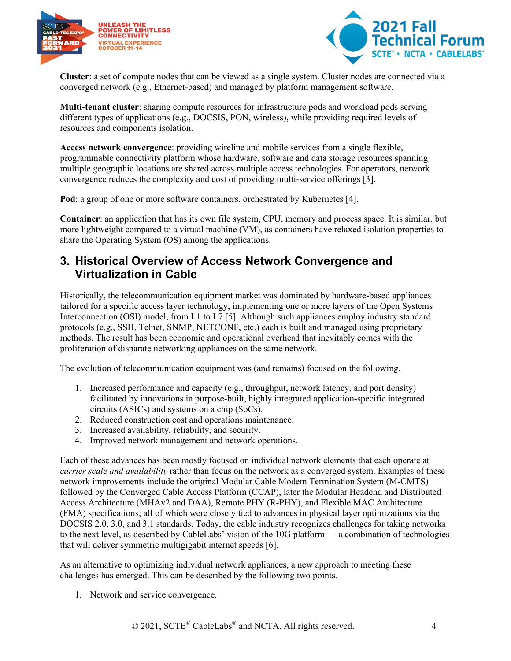



**Cluster**: a set of compute nodes that can be viewed as a single system. Cluster nodes are connected via a converged network (e.g., Ethernet-based) and managed by platform management software.

**Multi-tenant cluster**: sharing compute resources for infrastructure pods and workload pods serving different types of applications (e.g., DOCSIS, PON, wireless), while providing required levels of resources and components isolation.

**Access network convergence**: providing wireline and mobile services from a single flexible, programmable connectivity platform whose hardware, software and data storage resources spanning multiple geographic locations are shared across multiple access technologies. For operators, network convergence reduces the complexity and cost of providing multi-service offerings [3].

**Pod**: a group of one or more software containers, orchestrated by Kubernetes [4].

**Container**: an application that has its own file system, CPU, memory and process space. It is similar, but more lightweight compared to a virtual machine (VM), as containers have relaxed isolation properties to share the Operating System (OS) among the applications.

### <span id="page-3-0"></span>**3. Historical Overview of Access Network Convergence and Virtualization in Cable**

Historically, the telecommunication equipment market was dominated by hardware-based appliances tailored for a specific access layer technology, implementing one or more layers of the Open Systems Interconnection (OSI) model, from L1 to L7 [5]. Although such appliances employ industry standard protocols (e.g., SSH, Telnet, SNMP, NETCONF, etc.) each is built and managed using proprietary methods. The result has been economic and operational overhead that inevitably comes with the proliferation of disparate networking appliances on the same network.

The evolution of telecommunication equipment was (and remains) focused on the following.

- 1. Increased performance and capacity (e.g., throughput, network latency, and port density) facilitated by innovations in purpose-built, highly integrated application-specific integrated circuits (ASICs) and systems on a chip (SoCs).
- 2. Reduced construction cost and operations maintenance.
- 3. Increased availability, reliability, and security.
- 4. Improved network management and network operations.

Each of these advances has been mostly focused on individual network elements that each operate at *carrier scale and availability* rather than focus on the network as a converged system. Examples of these network improvements include the original Modular Cable Modem Termination System (M-CMTS) followed by the Converged Cable Access Platform (CCAP), later the Modular Headend and Distributed Access Architecture (MHAv2 and DAA), Remote PHY (R-PHY), and Flexible MAC Architecture (FMA) specifications; all of which were closely tied to advances in physical layer optimizations via the DOCSIS 2.0, 3.0, and 3.1 standards. Today, the cable industry recognizes challenges for taking networks to the next level, as described by CableLabs' vision of the 10G platform — a combination of technologies that will deliver symmetric multigigabit internet speeds [6].

As an alternative to optimizing individual network appliances, a new approach to meeting these challenges has emerged. This can be described by the following two points.

1. Network and service convergence.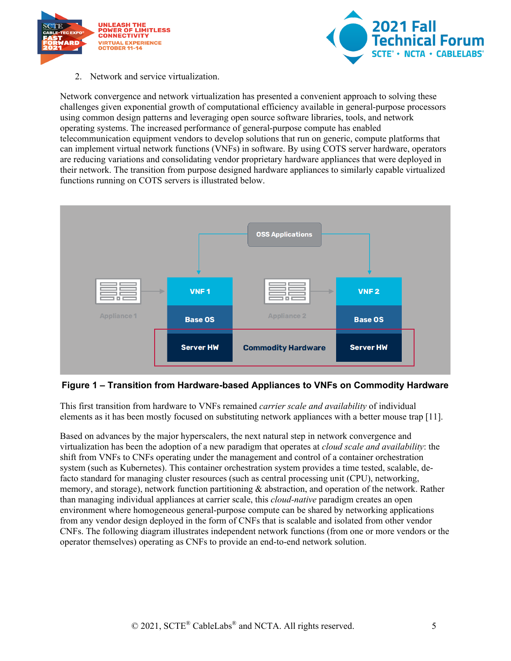



2. Network and service virtualization.

Network convergence and network virtualization has presented a convenient approach to solving these challenges given exponential growth of computational efficiency available in general-purpose processors using common design patterns and leveraging open source software libraries, tools, and network operating systems. The increased performance of general-purpose compute has enabled telecommunication equipment vendors to develop solutions that run on generic, compute platforms that can implement virtual network functions (VNFs) in software. By using COTS server hardware, operators are reducing variations and consolidating vendor proprietary hardware appliances that were deployed in their network. The transition from purpose designed hardware appliances to similarly capable virtualized functions running on COTS servers is illustrated below.



#### <span id="page-4-0"></span>**Figure 1 – Transition from Hardware-based Appliances to VNFs on Commodity Hardware**

This first transition from hardware to VNFs remained *carrier scale and availability* of individual elements as it has been mostly focused on substituting network appliances with a better mouse trap [11].

Based on advances by the major hyperscalers, the next natural step in network convergence and virtualization has been the adoption of a new paradigm that operates at *cloud scale and availability*: the shift from VNFs to CNFs operating under the management and control of a container orchestration system (such as Kubernetes). This container orchestration system provides a time tested, scalable, defacto standard for managing cluster resources (such as central processing unit (CPU), networking, memory, and storage), network function partitioning & abstraction, and operation of the network. Rather than managing individual appliances at carrier scale, this *cloud-native* paradigm creates an open environment where homogeneous general-purpose compute can be shared by networking applications from any vendor design deployed in the form of CNFs that is scalable and isolated from other vendor CNFs. The following diagram illustrates independent network functions (from one or more vendors or the operator themselves) operating as CNFs to provide an end-to-end network solution.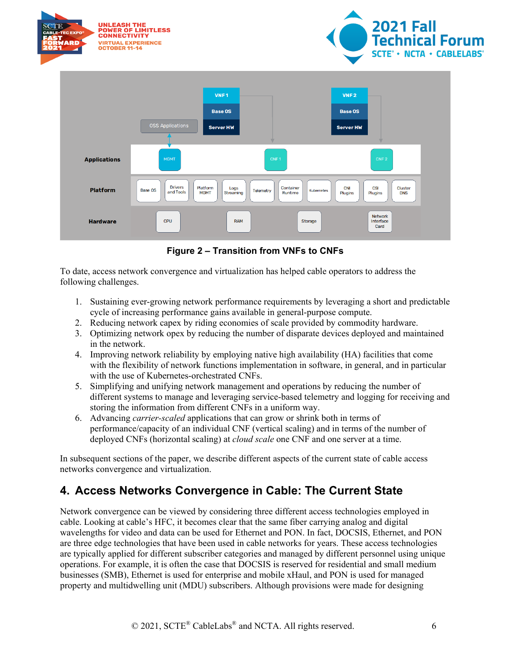

**Figure 2 – Transition from VNFs to CNFs**

<span id="page-5-1"></span>To date, access network convergence and virtualization has helped cable operators to address the following challenges.

- 1. Sustaining ever-growing network performance requirements by leveraging a short and predictable cycle of increasing performance gains available in general-purpose compute.
- 2. Reducing network capex by riding economies of scale provided by commodity hardware.
- 3. Optimizing network opex by reducing the number of disparate devices deployed and maintained in the network.
- 4. Improving network reliability by employing native high availability (HA) facilities that come with the flexibility of network functions implementation in software, in general, and in particular with the use of Kubernetes-orchestrated CNFs.
- 5. Simplifying and unifying network management and operations by reducing the number of different systems to manage and leveraging service-based telemetry and logging for receiving and storing the information from different CNFs in a uniform way.
- 6. Advancing *carrier-scaled* applications that can grow or shrink both in terms of performance/capacity of an individual CNF (vertical scaling) and in terms of the number of deployed CNFs (horizontal scaling) at *cloud scale* one CNF and one server at a time.

In subsequent sections of the paper, we describe different aspects of the current state of cable access networks convergence and virtualization.

## <span id="page-5-0"></span>**4. Access Networks Convergence in Cable: The Current State**

Network convergence can be viewed by considering three different access technologies employed in cable. Looking at cable's HFC, it becomes clear that the same fiber carrying analog and digital wavelengths for video and data can be used for Ethernet and PON. In fact, DOCSIS, Ethernet, and PON are three edge technologies that have been used in cable networks for years. These access technologies are typically applied for different subscriber categories and managed by different personnel using unique operations. For example, it is often the case that DOCSIS is reserved for residential and small medium businesses (SMB), Ethernet is used for enterprise and mobile xHaul, and PON is used for managed property and multidwelling unit (MDU) subscribers. Although provisions were made for designing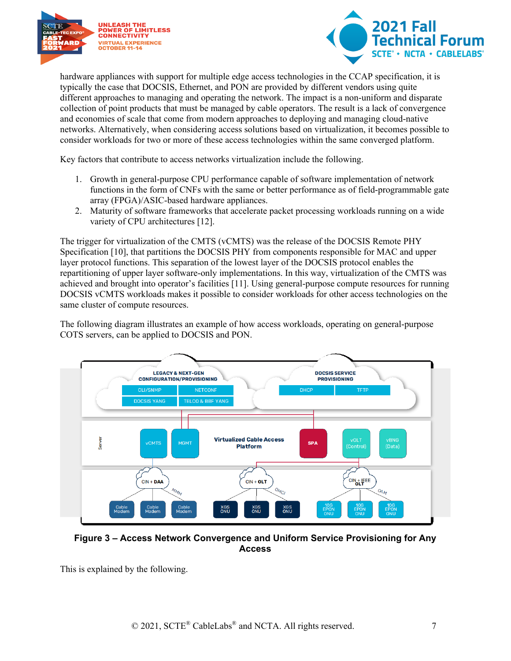



hardware appliances with support for multiple edge access technologies in the CCAP specification, it is typically the case that DOCSIS, Ethernet, and PON are provided by different vendors using quite different approaches to managing and operating the network. The impact is a non-uniform and disparate collection of point products that must be managed by cable operators. The result is a lack of convergence and economies of scale that come from modern approaches to deploying and managing cloud-native networks. Alternatively, when considering access solutions based on virtualization, it becomes possible to consider workloads for two or more of these access technologies within the same converged platform.

Key factors that contribute to access networks virtualization include the following.

- 1. Growth in general-purpose CPU performance capable of software implementation of network functions in the form of CNFs with the same or better performance as of field-programmable gate array (FPGA)/ASIC-based hardware appliances.
- 2. Maturity of software frameworks that accelerate packet processing workloads running on a wide variety of CPU architectures [12].

The trigger for virtualization of the CMTS (vCMTS) was the release of the DOCSIS Remote PHY Specification [10], that partitions the DOCSIS PHY from components responsible for MAC and upper layer protocol functions. This separation of the lowest layer of the DOCSIS protocol enables the repartitioning of upper layer software-only implementations. In this way, virtualization of the CMTS was achieved and brought into operator's facilities [11]. Using general-purpose compute resources for running DOCSIS vCMTS workloads makes it possible to consider workloads for other access technologies on the same cluster of compute resources.

The following diagram illustrates an example of how access workloads, operating on general-purpose COTS servers, can be applied to DOCSIS and PON.



<span id="page-6-0"></span>**Figure 3 – Access Network Convergence and Uniform Service Provisioning for Any Access**

This is explained by the following.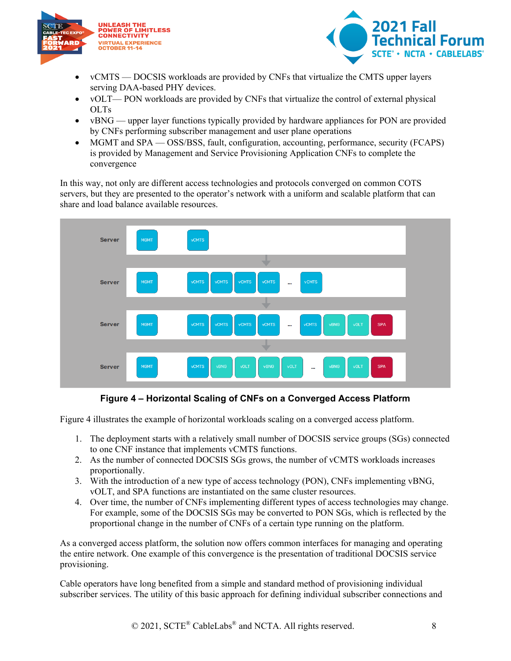



- vCMTS DOCSIS workloads are provided by CNFs that virtualize the CMTS upper layers serving DAA-based PHY devices.
- vOLT— PON workloads are provided by CNFs that virtualize the control of external physical OLTs
- vBNG upper layer functions typically provided by hardware appliances for PON are provided by CNFs performing subscriber management and user plane operations
- MGMT and SPA OSS/BSS, fault, configuration, accounting, performance, security (FCAPS) is provided by Management and Service Provisioning Application CNFs to complete the convergence

In this way, not only are different access technologies and protocols converged on common COTS servers, but they are presented to the operator's network with a uniform and scalable platform that can share and load balance available resources.



**Figure 4 – Horizontal Scaling of CNFs on a Converged Access Platform**

<span id="page-7-0"></span>[Figure 4](#page-7-0) illustrates the example of horizontal workloads scaling on a converged access platform.

- 1. The deployment starts with a relatively small number of DOCSIS service groups (SGs) connected to one CNF instance that implements vCMTS functions.
- 2. As the number of connected DOCSIS SGs grows, the number of vCMTS workloads increases proportionally.
- 3. With the introduction of a new type of access technology (PON), CNFs implementing vBNG, vOLT, and SPA functions are instantiated on the same cluster resources.
- 4. Over time, the number of CNFs implementing different types of access technologies may change. For example, some of the DOCSIS SGs may be converted to PON SGs, which is reflected by the proportional change in the number of CNFs of a certain type running on the platform.

As a converged access platform, the solution now offers common interfaces for managing and operating the entire network. One example of this convergence is the presentation of traditional DOCSIS service provisioning.

Cable operators have long benefited from a simple and standard method of provisioning individual subscriber services. The utility of this basic approach for defining individual subscriber connections and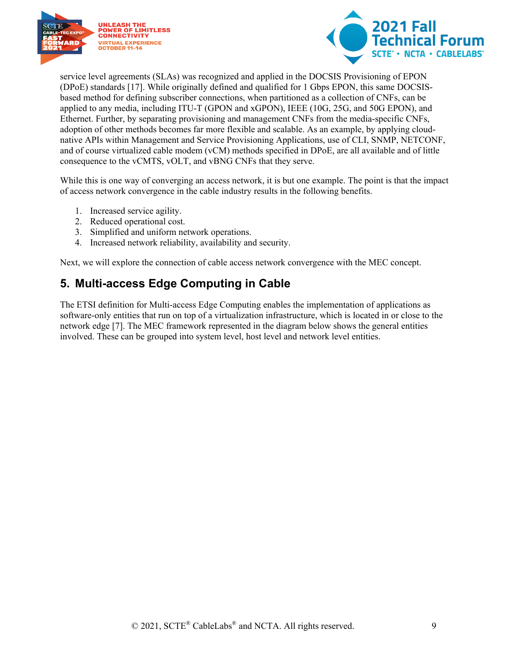



service level agreements (SLAs) was recognized and applied in the DOCSIS Provisioning of EPON (DPoE) standards [17]. While originally defined and qualified for 1 Gbps EPON, this same DOCSISbased method for defining subscriber connections, when partitioned as a collection of CNFs, can be applied to any media, including ITU-T (GPON and xGPON), IEEE (10G, 25G, and 50G EPON), and Ethernet. Further, by separating provisioning and management CNFs from the media-specific CNFs, adoption of other methods becomes far more flexible and scalable. As an example, by applying cloudnative APIs within Management and Service Provisioning Applications, use of CLI, SNMP, NETCONF, and of course virtualized cable modem (vCM) methods specified in DPoE, are all available and of little consequence to the vCMTS, vOLT, and vBNG CNFs that they serve.

While this is one way of converging an access network, it is but one example. The point is that the impact of access network convergence in the cable industry results in the following benefits.

- 1. Increased service agility.
- 2. Reduced operational cost.
- 3. Simplified and uniform network operations.
- 4. Increased network reliability, availability and security.

<span id="page-8-0"></span>Next, we will explore the connection of cable access network convergence with the MEC concept.

### **5. Multi-access Edge Computing in Cable**

The ETSI definition for Multi-access Edge Computing enables the implementation of applications as software-only entities that run on top of a virtualization infrastructure, which is located in or close to the network edge [7]. The MEC framework represented in the diagram below shows the general entities involved. These can be grouped into system level, host level and network level entities.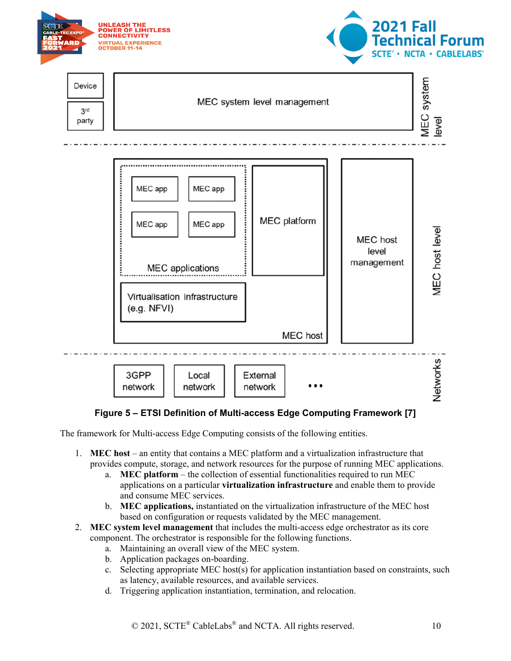

#### **Figure 5 – ETSI Definition of Multi-access Edge Computing Framework [7]**

<span id="page-9-0"></span>The framework for Multi-access Edge Computing consists of the following entities.

- 1. **MEC host** an entity that contains a MEC platform and a virtualization infrastructure that provides compute, storage, and network resources for the purpose of running MEC applications.
	- a. **MEC platform** the collection of essential functionalities required to run MEC applications on a particular **virtualization infrastructure** and enable them to provide and consume MEC services.
	- b. **MEC applications,** instantiated on the virtualization infrastructure of the MEC host based on configuration or requests validated by the MEC management.
- 2. **MEC system level management** that includes the multi-access edge orchestrator as its core component. The orchestrator is responsible for the following functions.
	- a. Maintaining an overall view of the MEC system.
	- b. Application packages on-boarding.
	- c. Selecting appropriate MEC host(s) for application instantiation based on constraints, such as latency, available resources, and available services.
	- d. Triggering application instantiation, termination, and relocation.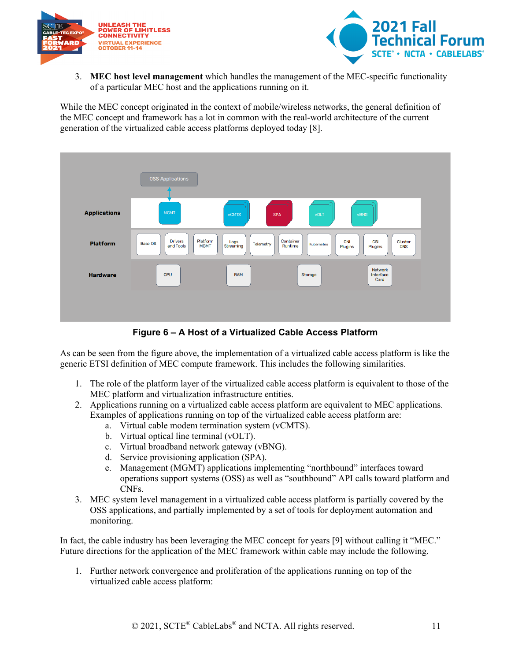



3. **MEC host level management** which handles the management of the MEC-specific functionality of a particular MEC host and the applications running on it.

While the MEC concept originated in the context of mobile/wireless networks, the general definition of the MEC concept and framework has a lot in common with the real-world architecture of the current generation of the virtualized cable access platforms deployed today [8].



**Figure 6 – A Host of a Virtualized Cable Access Platform**

<span id="page-10-0"></span>As can be seen from the figure above, the implementation of a virtualized cable access platform is like the generic ETSI definition of MEC compute framework. This includes the following similarities.

- 1. The role of the platform layer of the virtualized cable access platform is equivalent to those of the MEC platform and virtualization infrastructure entities.
- 2. Applications running on a virtualized cable access platform are equivalent to MEC applications. Examples of applications running on top of the virtualized cable access platform are:
	- a. Virtual cable modem termination system (vCMTS).
	- b. Virtual optical line terminal (vOLT).
	- c. Virtual broadband network gateway (vBNG).
	- d. Service provisioning application (SPA).
	- e. Management (MGMT) applications implementing "northbound" interfaces toward operations support systems (OSS) as well as "southbound" API calls toward platform and CNFs.
- 3. MEC system level management in a virtualized cable access platform is partially covered by the OSS applications, and partially implemented by a set of tools for deployment automation and monitoring.

In fact, the cable industry has been leveraging the MEC concept for years [9] without calling it "MEC." Future directions for the application of the MEC framework within cable may include the following.

1. Further network convergence and proliferation of the applications running on top of the virtualized cable access platform: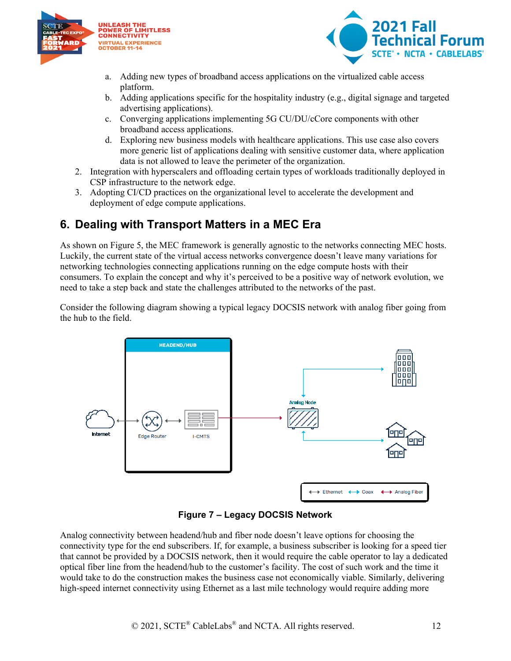



- a. Adding new types of broadband access applications on the virtualized cable access platform.
- b. Adding applications specific for the hospitality industry (e.g., digital signage and targeted advertising applications).
- c. Converging applications implementing 5G CU/DU/cCore components with other broadband access applications.
- d. Exploring new business models with healthcare applications. This use case also covers more generic list of applications dealing with sensitive customer data, where application data is not allowed to leave the perimeter of the organization.
- 2. Integration with hyperscalers and offloading certain types of workloads traditionally deployed in CSP infrastructure to the network edge.
- 3. Adopting CI/CD practices on the organizational level to accelerate the development and deployment of edge compute applications.

## <span id="page-11-0"></span>**6. Dealing with Transport Matters in a MEC Era**

As shown on [Figure 5,](#page-9-0) the MEC framework is generally agnostic to the networks connecting MEC hosts. Luckily, the current state of the virtual access networks convergence doesn't leave many variations for networking technologies connecting applications running on the edge compute hosts with their consumers. To explain the concept and why it's perceived to be a positive way of network evolution, we need to take a step back and state the challenges attributed to the networks of the past.

Consider the following diagram showing a typical legacy DOCSIS network with analog fiber going from the hub to the field.



**Figure 7 – Legacy DOCSIS Network**

<span id="page-11-1"></span>Analog connectivity between headend/hub and fiber node doesn't leave options for choosing the connectivity type for the end subscribers. If, for example, a business subscriber is looking for a speed tier that cannot be provided by a DOCSIS network, then it would require the cable operator to lay a dedicated optical fiber line from the headend/hub to the customer's facility. The cost of such work and the time it would take to do the construction makes the business case not economically viable. Similarly, delivering high-speed internet connectivity using Ethernet as a last mile technology would require adding more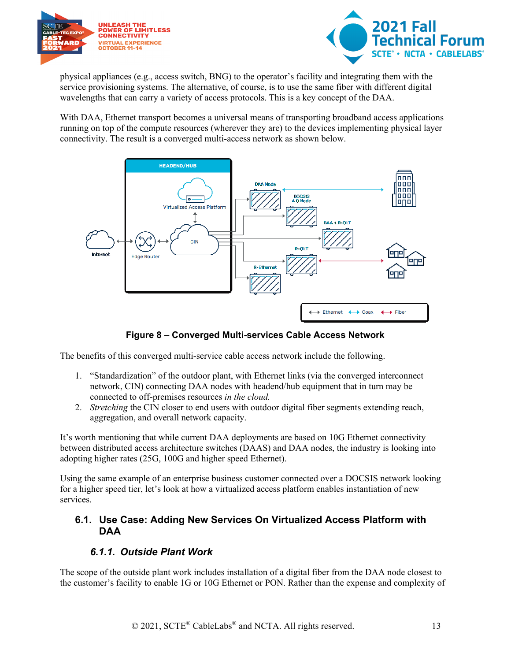



physical appliances (e.g., access switch, BNG) to the operator's facility and integrating them with the service provisioning systems. The alternative, of course, is to use the same fiber with different digital wavelengths that can carry a variety of access protocols. This is a key concept of the DAA.

With DAA, Ethernet transport becomes a universal means of transporting broadband access applications running on top of the compute resources (wherever they are) to the devices implementing physical layer connectivity. The result is a converged multi-access network as shown below.



**Figure 8 – Converged Multi-services Cable Access Network**

<span id="page-12-2"></span>The benefits of this converged multi-service cable access network include the following.

- 1. "Standardization" of the outdoor plant, with Ethernet links (via the converged interconnect network, CIN) connecting DAA nodes with headend/hub equipment that in turn may be connected to off-premises resources *in the cloud.*
- 2. *Stretching* the CIN closer to end users with outdoor digital fiber segments extending reach, aggregation, and overall network capacity.

It's worth mentioning that while current DAA deployments are based on 10G Ethernet connectivity between distributed access architecture switches (DAAS) and DAA nodes, the industry is looking into adopting higher rates (25G, 100G and higher speed Ethernet).

Using the same example of an enterprise business customer connected over a DOCSIS network looking for a higher speed tier, let's look at how a virtualized access platform enables instantiation of new services.

#### <span id="page-12-0"></span>**6.1. Use Case: Adding New Services On Virtualized Access Platform with DAA**

#### *6.1.1. Outside Plant Work*

<span id="page-12-1"></span>The scope of the outside plant work includes installation of a digital fiber from the DAA node closest to the customer's facility to enable 1G or 10G Ethernet or PON. Rather than the expense and complexity of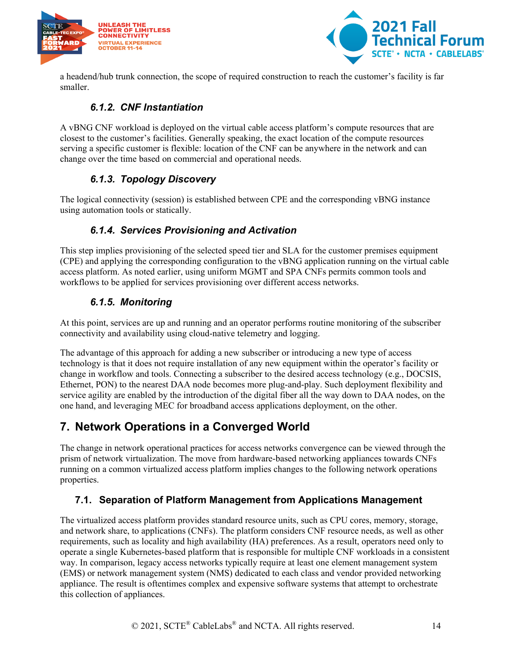



<span id="page-13-0"></span>a headend/hub trunk connection, the scope of required construction to reach the customer's facility is far smaller.

#### *6.1.2. CNF Instantiation*

A vBNG CNF workload is deployed on the virtual cable access platform's compute resources that are closest to the customer's facilities. Generally speaking, the exact location of the compute resources serving a specific customer is flexible: location of the CNF can be anywhere in the network and can change over the time based on commercial and operational needs.

#### *6.1.3. Topology Discovery*

<span id="page-13-2"></span><span id="page-13-1"></span>The logical connectivity (session) is established between CPE and the corresponding vBNG instance using automation tools or statically.

#### *6.1.4. Services Provisioning and Activation*

This step implies provisioning of the selected speed tier and SLA for the customer premises equipment (CPE) and applying the corresponding configuration to the vBNG application running on the virtual cable access platform. As noted earlier, using uniform MGMT and SPA CNFs permits common tools and workflows to be applied for services provisioning over different access networks.

#### *6.1.5. Monitoring*

<span id="page-13-3"></span>At this point, services are up and running and an operator performs routine monitoring of the subscriber connectivity and availability using cloud-native telemetry and logging.

The advantage of this approach for adding a new subscriber or introducing a new type of access technology is that it does not require installation of any new equipment within the operator's facility or change in workflow and tools. Connecting a subscriber to the desired access technology (e.g., DOCSIS, Ethernet, PON) to the nearest DAA node becomes more plug-and-play. Such deployment flexibility and service agility are enabled by the introduction of the digital fiber all the way down to DAA nodes, on the one hand, and leveraging MEC for broadband access applications deployment, on the other.

## <span id="page-13-4"></span>**7. Network Operations in a Converged World**

The change in network operational practices for access networks convergence can be viewed through the prism of network virtualization. The move from hardware-based networking appliances towards CNFs running on a common virtualized access platform implies changes to the following network operations properties.

#### <span id="page-13-5"></span>**7.1. Separation of Platform Management from Applications Management**

The virtualized access platform provides standard resource units, such as CPU cores, memory, storage, and network share, to applications (CNFs). The platform considers CNF resource needs, as well as other requirements, such as locality and high availability (HA) preferences. As a result, operators need only to operate a single Kubernetes-based platform that is responsible for multiple CNF workloads in a consistent way. In comparison, legacy access networks typically require at least one element management system (EMS) or network management system (NMS) dedicated to each class and vendor provided networking appliance. The result is oftentimes complex and expensive software systems that attempt to orchestrate this collection of appliances.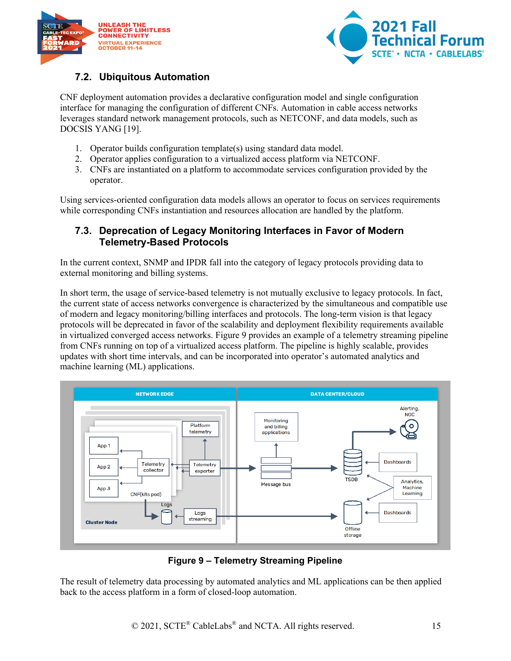



#### <span id="page-14-0"></span>**7.2. Ubiquitous Automation**

CNF deployment automation provides a declarative configuration model and single configuration interface for managing the configuration of different CNFs. Automation in cable access networks leverages standard network management protocols, such as NETCONF, and data models, such as DOCSIS YANG [19].

- 1. Operator builds configuration template(s) using standard data model.
- 2. Operator applies configuration to a virtualized access platform via NETCONF.
- 3. CNFs are instantiated on a platform to accommodate services configuration provided by the operator.

Using services-oriented configuration data models allows an operator to focus on services requirements while corresponding CNFs instantiation and resources allocation are handled by the platform.

#### <span id="page-14-1"></span>**7.3. Deprecation of Legacy Monitoring Interfaces in Favor of Modern Telemetry-Based Protocols**

In the current context, SNMP and IPDR fall into the category of legacy protocols providing data to external monitoring and billing systems.

In short term, the usage of service-based telemetry is not mutually exclusive to legacy protocols. In fact, the current state of access networks convergence is characterized by the simultaneous and compatible use of modern and legacy monitoring/billing interfaces and protocols. The long-term vision is that legacy protocols will be deprecated in favor of the scalability and deployment flexibility requirements available in virtualized converged access networks. [Figure 9](#page-14-2) provides an example of a telemetry streaming pipeline from CNFs running on top of a virtualized access platform. The pipeline is highly scalable, provides updates with short time intervals, and can be incorporated into operator's automated analytics and machine learning (ML) applications.



#### **Figure 9 – Telemetry Streaming Pipeline**

<span id="page-14-2"></span>The result of telemetry data processing by automated analytics and ML applications can be then applied back to the access platform in a form of closed-loop automation.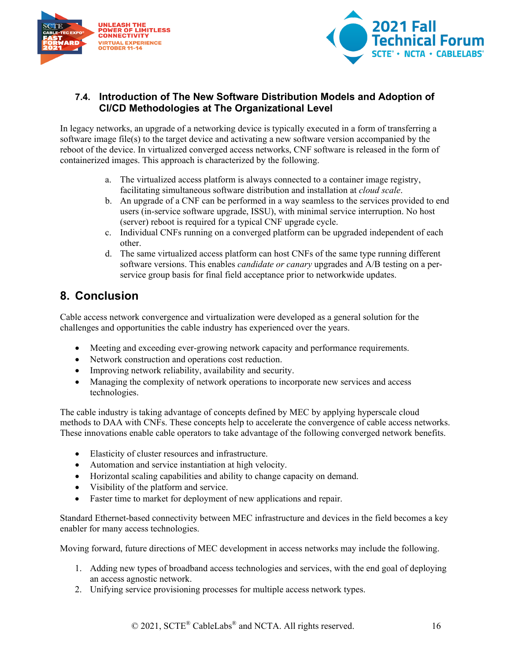



#### <span id="page-15-0"></span>**7.4. Introduction of The New Software Distribution Models and Adoption of CI/CD Methodologies at The Organizational Level**

In legacy networks, an upgrade of a networking device is typically executed in a form of transferring a software image file(s) to the target device and activating a new software version accompanied by the reboot of the device. In virtualized converged access networks, CNF software is released in the form of containerized images. This approach is characterized by the following.

- a. The virtualized access platform is always connected to a container image registry, facilitating simultaneous software distribution and installation at *cloud scale*.
- b. An upgrade of a CNF can be performed in a way seamless to the services provided to end users (in-service software upgrade, ISSU), with minimal service interruption. No host (server) reboot is required for a typical CNF upgrade cycle.
- c. Individual CNFs running on a converged platform can be upgraded independent of each other.
- d. The same virtualized access platform can host CNFs of the same type running different software versions. This enables *candidate or canary* upgrades and A/B testing on a perservice group basis for final field acceptance prior to networkwide updates.

## <span id="page-15-1"></span>**8. Conclusion**

Cable access network convergence and virtualization were developed as a general solution for the challenges and opportunities the cable industry has experienced over the years.

- Meeting and exceeding ever-growing network capacity and performance requirements.
- Network construction and operations cost reduction.
- Improving network reliability, availability and security.
- Managing the complexity of network operations to incorporate new services and access technologies.

The cable industry is taking advantage of concepts defined by MEC by applying hyperscale cloud methods to DAA with CNFs. These concepts help to accelerate the convergence of cable access networks. These innovations enable cable operators to take advantage of the following converged network benefits.

- Elasticity of cluster resources and infrastructure.
- Automation and service instantiation at high velocity.
- Horizontal scaling capabilities and ability to change capacity on demand.
- Visibility of the platform and service.
- Faster time to market for deployment of new applications and repair.

Standard Ethernet-based connectivity between MEC infrastructure and devices in the field becomes a key enabler for many access technologies.

Moving forward, future directions of MEC development in access networks may include the following.

- 1. Adding new types of broadband access technologies and services, with the end goal of deploying an access agnostic network.
- 2. Unifying service provisioning processes for multiple access network types.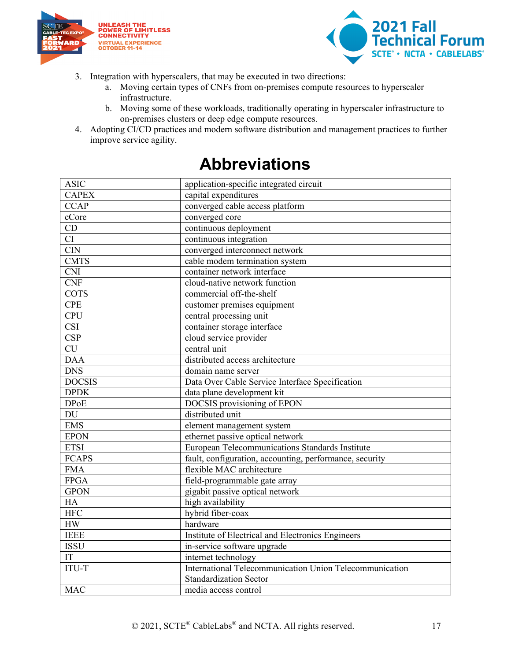



- 3. Integration with hyperscalers, that may be executed in two directions:
	- a. Moving certain types of CNFs from on-premises compute resources to hyperscaler infrastructure.
	- b. Moving some of these workloads, traditionally operating in hyperscaler infrastructure to on-premises clusters or deep edge compute resources.
- <span id="page-16-0"></span>4. Adopting CI/CD practices and modern software distribution and management practices to further improve service agility.

| <b>ASIC</b>             | application-specific integrated circuit                 |
|-------------------------|---------------------------------------------------------|
| <b>CAPEX</b>            | capital expenditures                                    |
| <b>CCAP</b>             | converged cable access platform                         |
| cCore                   | converged core                                          |
| CD                      | continuous deployment                                   |
| CI                      | continuous integration                                  |
| <b>CIN</b>              | converged interconnect network                          |
| <b>CMTS</b>             | cable modem termination system                          |
| <b>CNI</b>              | container network interface                             |
| <b>CNF</b>              | cloud-native network function                           |
| <b>COTS</b>             | commercial off-the-shelf                                |
| <b>CPE</b>              | customer premises equipment                             |
| <b>CPU</b>              | central processing unit                                 |
| $\overline{\text{CSI}}$ | container storage interface                             |
| <b>CSP</b>              | cloud service provider                                  |
| $\overline{\text{CU}}$  | central unit                                            |
| <b>DAA</b>              | distributed access architecture                         |
| <b>DNS</b>              | domain name server                                      |
| <b>DOCSIS</b>           | Data Over Cable Service Interface Specification         |
| <b>DPDK</b>             | data plane development kit                              |
| <b>DPoE</b>             | DOCSIS provisioning of EPON                             |
| DU                      | distributed unit                                        |
| <b>EMS</b>              | element management system                               |
| <b>EPON</b>             | ethernet passive optical network                        |
| <b>ETSI</b>             | European Telecommunications Standards Institute         |
| <b>FCAPS</b>            | fault, configuration, accounting, performance, security |
| <b>FMA</b>              | flexible MAC architecture                               |
| <b>FPGA</b>             | field-programmable gate array                           |
| <b>GPON</b>             | gigabit passive optical network                         |
| HA                      | high availability                                       |
| <b>HFC</b>              | hybrid fiber-coax                                       |
| HW                      | hardware                                                |
| <b>IEEE</b>             | Institute of Electrical and Electronics Engineers       |
| <b>ISSU</b>             | in-service software upgrade                             |
| IT                      | internet technology                                     |
| <b>ITU-T</b>            | International Telecommunication Union Telecommunication |
|                         | <b>Standardization Sector</b>                           |
| <b>MAC</b>              | media access control                                    |

## **Abbreviations**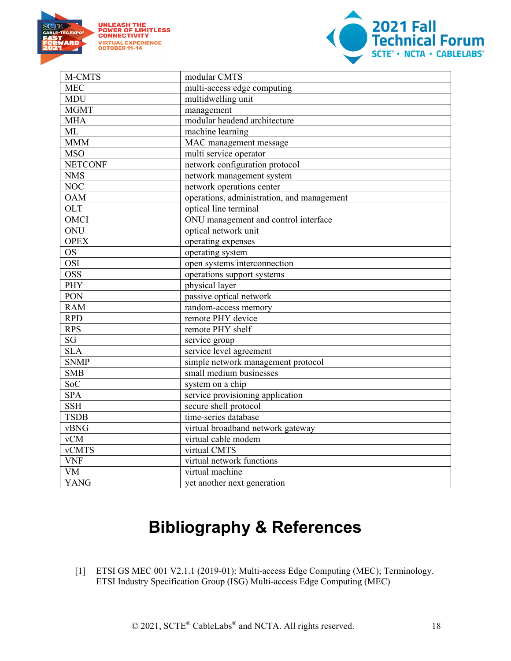



| M-CMTS         | modular CMTS                               |
|----------------|--------------------------------------------|
| <b>MEC</b>     | multi-access edge computing                |
| <b>MDU</b>     | multidwelling unit                         |
| <b>MGMT</b>    | management                                 |
| <b>MHA</b>     | modular headend architecture               |
| <b>ML</b>      | machine learning                           |
| <b>MMM</b>     | MAC management message                     |
| <b>MSO</b>     | multi service operator                     |
| <b>NETCONF</b> | network configuration protocol             |
| <b>NMS</b>     | network management system                  |
| <b>NOC</b>     | network operations center                  |
| <b>OAM</b>     | operations, administration, and management |
| <b>OLT</b>     | optical line terminal                      |
| OMCI           | ONU management and control interface       |
| ONU            | optical network unit                       |
| <b>OPEX</b>    | operating expenses                         |
| <b>OS</b>      | operating system                           |
| <b>OSI</b>     | open systems interconnection               |
| <b>OSS</b>     | operations support systems                 |
| PHY            | physical layer                             |
| PON            | passive optical network                    |
| <b>RAM</b>     | random-access memory                       |
| <b>RPD</b>     | remote PHY device                          |
| <b>RPS</b>     | remote PHY shelf                           |
| SG             | service group                              |
| <b>SLA</b>     | service level agreement                    |
| <b>SNMP</b>    | simple network management protocol         |
| <b>SMB</b>     | small medium businesses                    |
| <b>SoC</b>     | system on a chip                           |
| <b>SPA</b>     | service provisioning application           |
| <b>SSH</b>     | secure shell protocol                      |
| <b>TSDB</b>    | time-series database                       |
| vBNG           | virtual broadband network gateway          |
| vCM            | virtual cable modem                        |
| <b>vCMTS</b>   | virtual CMTS                               |
| <b>VNF</b>     | virtual network functions                  |
| <b>VM</b>      | virtual machine                            |
| <b>YANG</b>    | yet another next generation                |

# **Bibliography & References**

<span id="page-17-0"></span>[1] ETSI GS MEC 001 V2.1.1 (2019-01): Multi-access Edge Computing (MEC); Terminology. ETSI Industry Specification Group (ISG) Multi-access Edge Computing (MEC)